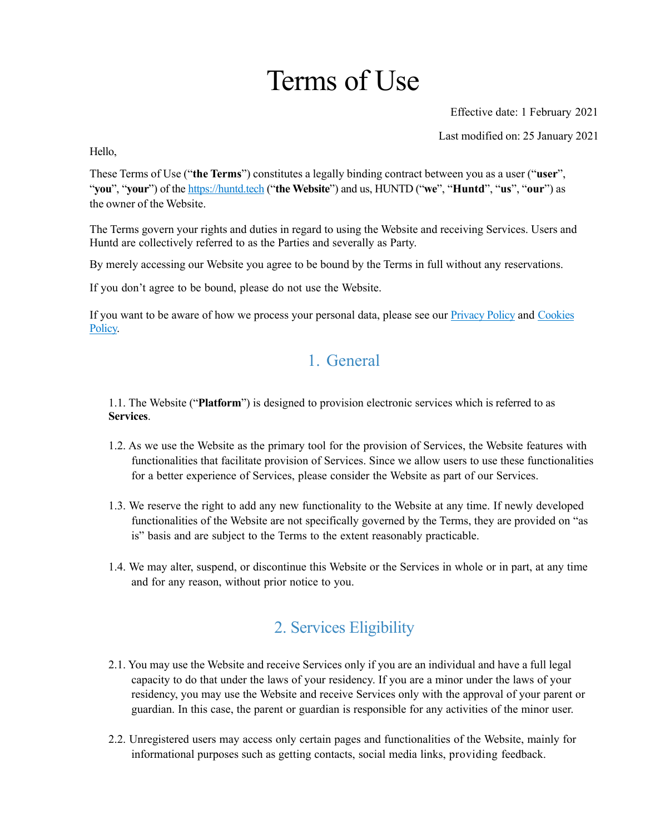# Terms of Use

Effective date: 1 February 2021

Last modified on: 25 January 2021

Hello,

These Terms of Use ("**the Terms**") constitutes a legally binding contract between you as a user ("**user**", "**you**", "**your**") of the <https://huntd.tech>("**the Website**") and us, HUNTD ("**we**", "**Huntd**", "**us**", "**our**") as the owner of the Website.

The Terms govern your rights and duties in regard to using the Website and receiving Services. Users and Huntd are collectively referred to as the Parties and severally as Party.

By merely accessing our Website you agree to be bound by the Terms in full without any reservations.

If you don't agree to be bound, please do not use the Website.

If you want to be aware of how we process your personal data, please see our **Privacy Policy** and Cookies [Policy.](https://huntd.tech/cookies-policy.pdf)

# 1. General

1.1. The Website ("**Platform**") is designed to provision electronic services which is referred to as **Services**.

- 1.2. As we use the Website as the primary tool for the provision of Services, the Website features with functionalities that facilitate provision of Services. Since we allow users to use these functionalities for a better experience of Services, please consider the Website as part of our Services.
- 1.3. We reserve the right to add any new functionality to the Website at any time. If newly developed functionalities of the Website are not specifically governed by the Terms, they are provided on "as is" basis and are subject to the Terms to the extent reasonably practicable.
- 1.4. We may alter, suspend, or discontinue this Website or the Services in whole or in part, at any time and for any reason, without prior notice to you.

# 2. Services Eligibility

- 2.1. You may use the Website and receive Services only if you are an individual and have a full legal capacity to do that under the laws of your residency. If you are a minor under the laws of your residency, you may use the Website and receive Services only with the approval of your parent or guardian. In this case, the parent or guardian is responsible for any activities of the minor user.
- 2.2. Unregistered users may access only certain pages and functionalities of the Website, mainly for informational purposes such as getting contacts, social media links, providing feedback.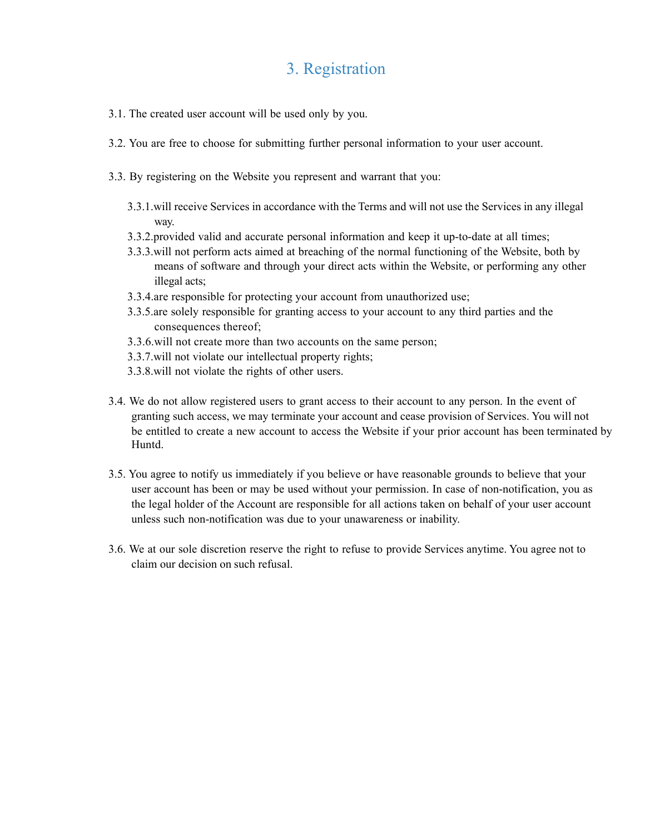#### 3. Registration

- 3.1. The created user account will be used only by you.
- 3.2. You are free to choose for submitting further personal information to your user account.
- 3.3. By registering on the Website you represent and warrant that you:
	- 3.3.1.will receive Services in accordance with the Terms and will not use the Services in any illegal way.
	- 3.3.2.provided valid and accurate personal information and keep it up-to-date at all times;
	- 3.3.3.will not perform acts aimed at breaching of the normal functioning of the Website, both by means of software and through your direct acts within the Website, or performing any other illegal acts;
	- 3.3.4.are responsible for protecting your account from unauthorized use;
	- 3.3.5.are solely responsible for granting access to your account to any third parties and the consequences thereof;
	- 3.3.6.will not create more than two accounts on the same person;
	- 3.3.7.will not violate our intellectual property rights;
	- 3.3.8.will not violate the rights of other users.
- 3.4. We do not allow registered users to grant access to their account to any person. In the event of granting such access, we may terminate your account and cease provision of Services. You will not be entitled to create a new account to access the Website if your prior account has been terminated by Huntd.
- 3.5. You agree to notify us immediately if you believe or have reasonable grounds to believe that your user account has been or may be used without your permission. In case of non-notification, you as the legal holder of the Account are responsible for all actions taken on behalf of your user account unless such non-notification was due to your unawareness or inability.
- 3.6. We at our sole discretion reserve the right to refuse to provide Services anytime. You agree not to claim our decision on such refusal.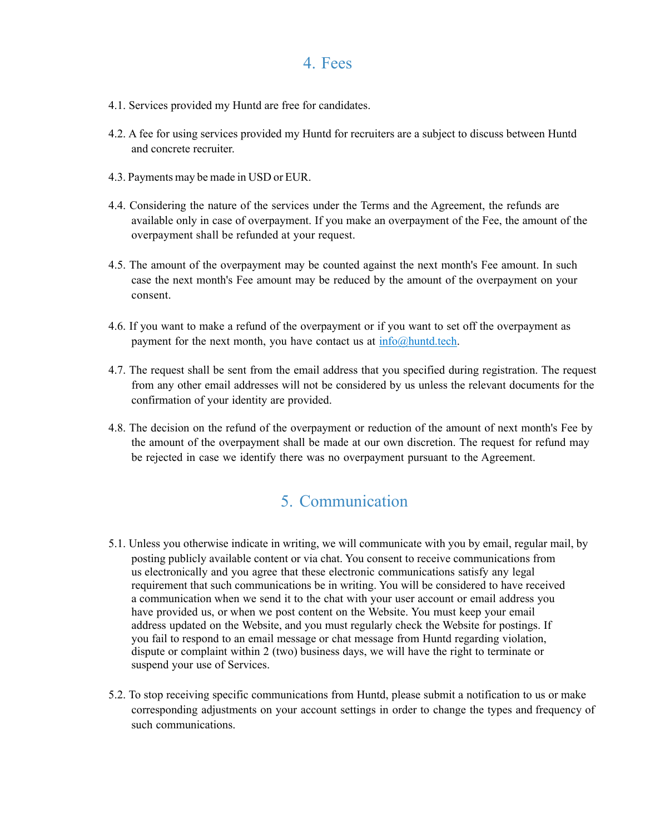#### 4. Fees

- 4.1. Services provided my Huntd are free for candidates.
- 4.2. A fee for using services provided my Huntd for recruiters are a subject to discuss between Huntd and concrete recruiter.
- 4.3. Payments may be made in USD or EUR.
- 4.4. Considering the nature of the services under the Terms and the Agreement, the refunds are available only in case of overpayment. If you make an overpayment of the Fee, the amount of the overpayment shall be refunded at your request.
- 4.5. The amount of the overpayment may be counted against the next month's Fee amount. In such case the next month's Fee amount may be reduced by the amount of the overpayment on your consent.
- 4.6. If you want to make a refund of the overpayment or if you want to set off the overpayment as payment for the next month, you have contact us at  $\inf_{\Omega}(\partial \Omega)$  huntd.tech.
- 4.7. The request shall be sent from the email address that you specified during registration. The request from any other email addresses will not be considered by us unless the relevant documents for the confirmation of your identity are provided.
- 4.8. The decision on the refund of the overpayment or reduction of the amount of next month's Fee by the amount of the overpayment shall be made at our own discretion. The request for refund may be rejected in case we identify there was no overpayment pursuant to the Agreement.

## 5. Communication

- 5.1. Unless you otherwise indicate in writing, we will communicate with you by email, regular mail, by posting publicly available content or via chat. You consent to receive communications from us electronically and you agree that these electronic communications satisfy any legal requirement that such communications be in writing. You will be considered to have received a communication when we send it to the chat with your user account or email address you have provided us, or when we post content on the Website. You must keep your email address updated on the Website, and you must regularly check the Website for postings. If you fail to respond to an email message or chat message from Huntd regarding violation, dispute or complaint within 2 (two) business days, we will have the right to terminate or suspend your use of Services.
- 5.2. To stop receiving specific communications from Huntd, please submit a notification to us or make corresponding adjustments on your account settings in order to change the types and frequency of such communications.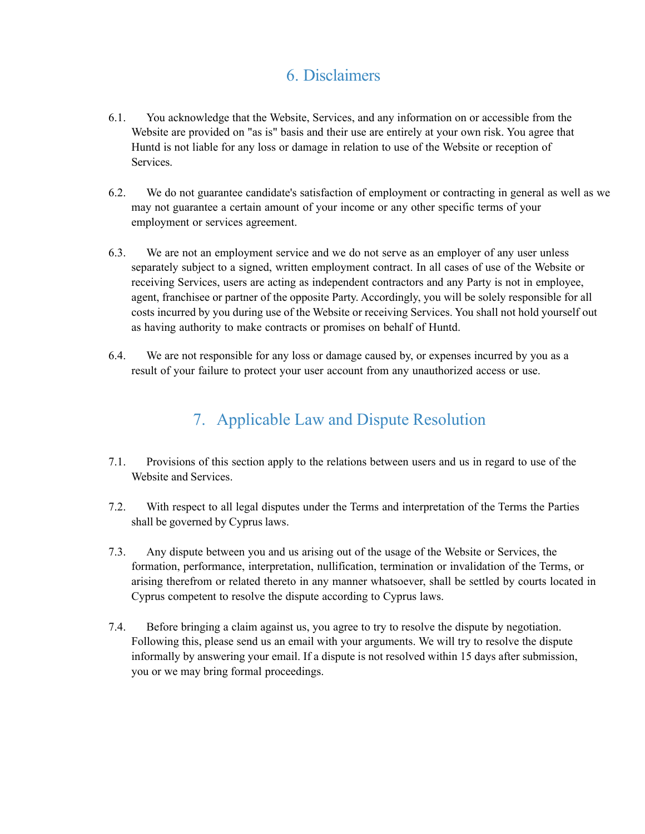#### 6. Disclaimers

- 6.1. You acknowledge that the Website, Services, and any information on or accessible from the Website are provided on "as is" basis and their use are entirely at your own risk. You agree that Huntd is not liable for any loss or damage in relation to use of the Website or reception of **Services**
- 6.2. We do not guarantee candidate's satisfaction of employment or contracting in general as well as we may not guarantee a certain amount of your income or any other specific terms of your employment or services agreement.
- 6.3. We are not an employment service and we do not serve as an employer of any user unless separately subject to a signed, written employment contract. In all cases of use of the Website or receiving Services, users are acting as independent contractors and any Party is not in employee, agent, franchisee or partner of the opposite Party. Accordingly, you will be solely responsible for all costs incurred by you during use of the Website or receiving Services. You shall not hold yourself out as having authority to make contracts or promises on behalf of Huntd.
- 6.4. We are not responsible for any loss or damage caused by, or expenses incurred by you as a result of your failure to protect your user account from any unauthorized access or use.

# 7. Applicable Law and Dispute Resolution

- 7.1. Provisions of this section apply to the relations between users and us in regard to use of the Website and Services.
- 7.2. With respect to all legal disputes under the Terms and interpretation of the Terms the Parties shall be governed by Cyprus laws.
- 7.3. Any dispute between you and us arising out of the usage of the Website or Services, the formation, performance, interpretation, nullification, termination or invalidation of the Terms, or arising therefrom or related thereto in any manner whatsoever, shall be settled by courts located in Cyprus competent to resolve the dispute according to Cyprus laws.
- 7.4. Before bringing a claim against us, you agree to try to resolve the dispute by negotiation. Following this, please send us an email with your arguments. We will try to resolve the dispute informally by answering your email. If a dispute is not resolved within 15 days after submission, you or we may bring formal proceedings.